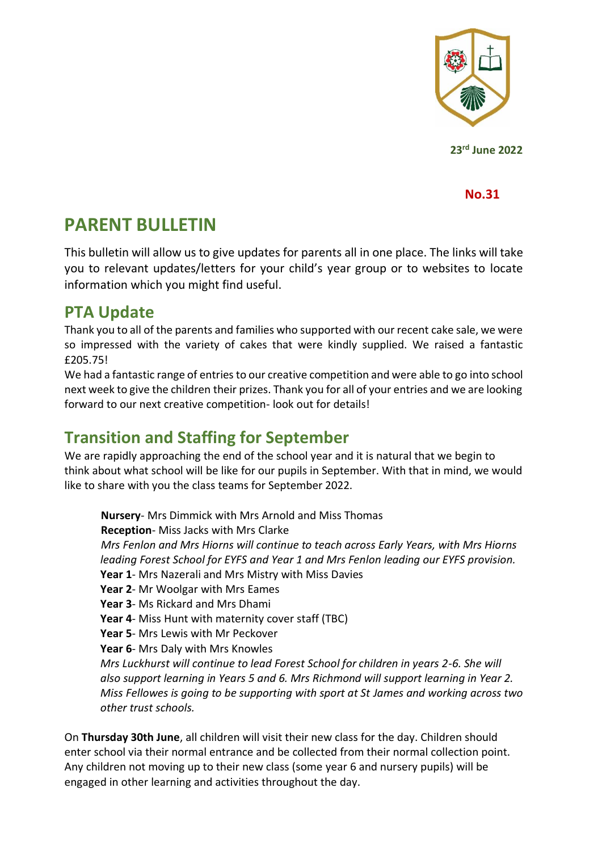

**23rd June 2022**

**No.31**

# **PARENT BULLETIN**

This bulletin will allow us to give updates for parents all in one place. The links will take you to relevant updates/letters for your child's year group or to websites to locate information which you might find useful.

#### **PTA Update**

Thank you to all of the parents and families who supported with our recent cake sale, we were so impressed with the variety of cakes that were kindly supplied. We raised a fantastic £205.75!

We had a fantastic range of entries to our creative competition and were able to go into school next week to give the children their prizes. Thank you for all of your entries and we are looking forward to our next creative competition- look out for details!

### **Transition and Staffing for September**

We are rapidly approaching the end of the school year and it is natural that we begin to think about what school will be like for our pupils in September. With that in mind, we would like to share with you the class teams for September 2022.

**Nursery**- Mrs Dimmick with Mrs Arnold and Miss Thomas **Reception**- Miss Jacks with Mrs Clarke *Mrs Fenlon and Mrs Hiorns will continue to teach across Early Years, with Mrs Hiorns leading Forest School for EYFS and Year 1 and Mrs Fenlon leading our EYFS provision.*  **Year 1**- Mrs Nazerali and Mrs Mistry with Miss Davies **Year 2**- Mr Woolgar with Mrs Eames **Year 3**- Ms Rickard and Mrs Dhami **Year 4**- Miss Hunt with maternity cover staff (TBC) **Year 5**- Mrs Lewis with Mr Peckover **Year 6**- Mrs Daly with Mrs Knowles *Mrs Luckhurst will continue to lead Forest School for children in years 2-6. She will also support learning in Years 5 and 6. Mrs Richmond will support learning in Year 2. Miss Fellowes is going to be supporting with sport at St James and working across two other trust schools.* 

On **Thursday 30th June**, all children will visit their new class for the day. Children should enter school via their normal entrance and be collected from their normal collection point. Any children not moving up to their new class (some year 6 and nursery pupils) will be engaged in other learning and activities throughout the day.